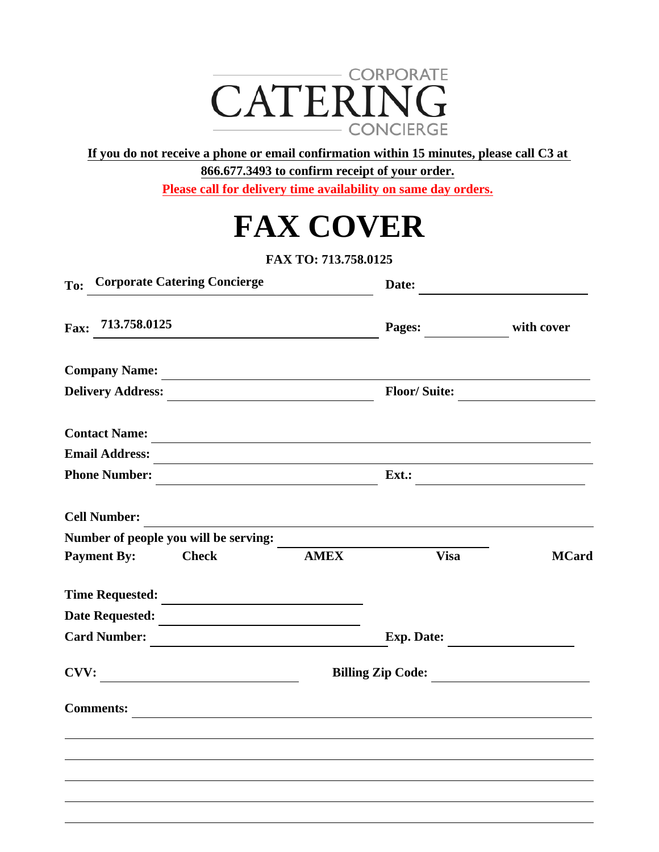

**If you do not receive a phone or email confirmation within 15 minutes, please call C3 at** 

**866.677.3493 to confirm receipt of your order.**

**Please call for delivery time availability on same day orders.**

|  | <b>FAX COVER</b> |  |
|--|------------------|--|
|--|------------------|--|

**FAX TO: 713.758.0125**

| <b>Corporate Catering Concierge</b><br>To:                                                                                   |             | Date:               |              |
|------------------------------------------------------------------------------------------------------------------------------|-------------|---------------------|--------------|
| 713.758.0125<br>Fax:                                                                                                         |             | Pages:              | with cover   |
| <b>Company Name:</b>                                                                                                         |             |                     |              |
| <b>Delivery Address:</b>                                                                                                     |             | <b>Floor/Suite:</b> |              |
| <b>Contact Name:</b>                                                                                                         |             |                     |              |
| <b>Email Address:</b>                                                                                                        |             |                     |              |
| <b>Phone Number:</b>                                                                                                         |             | $Ext.$ :            |              |
| <b>Cell Number:</b>                                                                                                          |             |                     |              |
| Number of people you will be serving:                                                                                        |             |                     |              |
| <b>Payment By:</b><br><b>Check</b>                                                                                           | <b>AMEX</b> | <b>Visa</b>         | <b>MCard</b> |
| Time Requested:                                                                                                              |             |                     |              |
| Date Requested:                                                                                                              |             |                     |              |
| <b>Card Number:</b><br><u> 1980 - Jan Samuel Barbara, politik e</u> ta p                                                     |             | Exp. Date:          |              |
| CVV:<br><u> 1989 - Andrea Station Barbara, politik eta provincia eta provincia eta provincia eta provincia eta provincia</u> |             | Billing Zip Code:   |              |
| <b>Comments:</b>                                                                                                             |             |                     |              |
|                                                                                                                              |             |                     |              |
|                                                                                                                              |             |                     |              |
|                                                                                                                              |             |                     |              |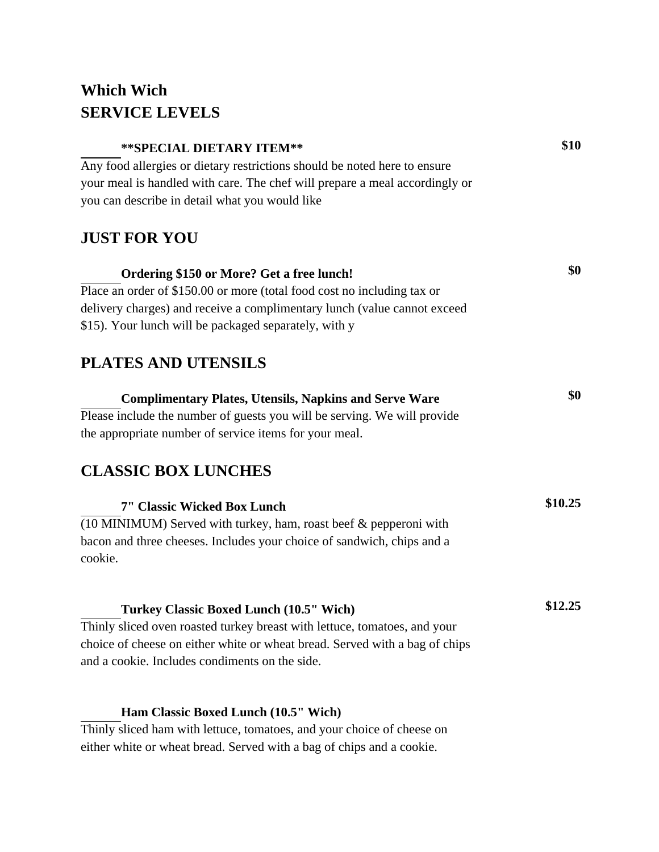## **Which Wich SERVICE LEVELS**

| ** SPECIAL DIETARY ITEM**                                                         | \$10    |
|-----------------------------------------------------------------------------------|---------|
| Any food allergies or dietary restrictions should be noted here to ensure         |         |
| your meal is handled with care. The chef will prepare a meal accordingly or       |         |
| you can describe in detail what you would like                                    |         |
| <b>JUST FOR YOU</b>                                                               |         |
| Ordering \$150 or More? Get a free lunch!                                         | \$0     |
| Place an order of \$150.00 or more (total food cost no including tax or           |         |
| delivery charges) and receive a complimentary lunch (value cannot exceed          |         |
| \$15). Your lunch will be packaged separately, with y                             |         |
| <b>PLATES AND UTENSILS</b>                                                        |         |
| <b>Complimentary Plates, Utensils, Napkins and Serve Ware</b>                     | \$0     |
| Please include the number of guests you will be serving. We will provide          |         |
| the appropriate number of service items for your meal.                            |         |
| <b>CLASSIC BOX LUNCHES</b>                                                        |         |
| <b>7" Classic Wicked Box Lunch</b>                                                | \$10.25 |
| (10 MINIMUM) Served with turkey, ham, roast beef & pepperoni with                 |         |
| bacon and three cheeses. Includes your choice of sandwich, chips and a<br>cookie. |         |
| Turkey Classic Boxed Lunch (10.5" Wich)                                           | \$12.25 |
| Thinly sliced oven roasted turkey breast with lettuce, tomatoes, and your         |         |
| choice of cheese on either white or wheat bread. Served with a bag of chips       |         |
| and a cookie. Includes condiments on the side.                                    |         |
|                                                                                   |         |

## **Ham Classic Boxed Lunch (10.5" Wich)**

Thinly sliced ham with lettuce, tomatoes, and your choice of cheese on either white or wheat bread. Served with a bag of chips and a cookie.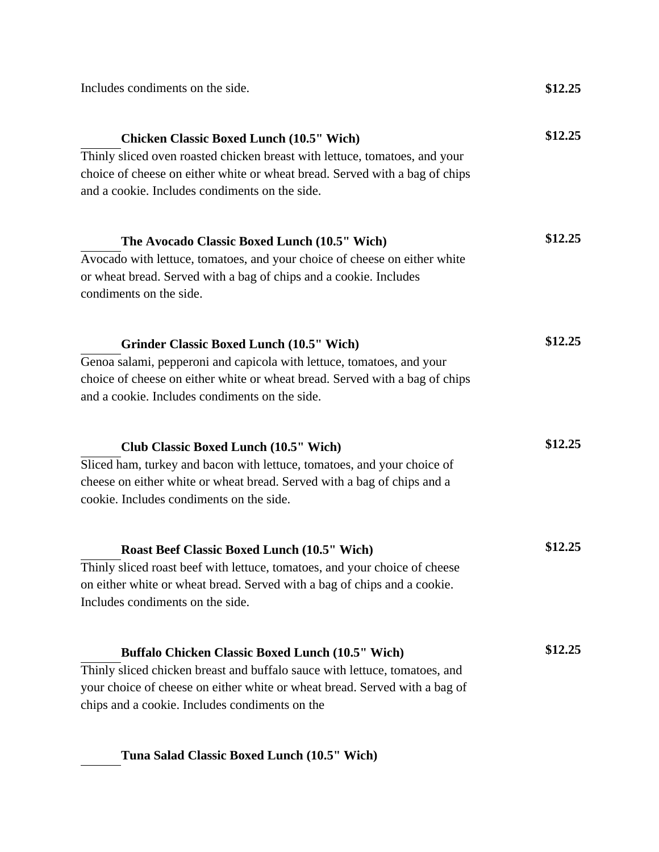| Includes condiments on the side.                                                                                                                                                                                                                                      | \$12.25 |  |
|-----------------------------------------------------------------------------------------------------------------------------------------------------------------------------------------------------------------------------------------------------------------------|---------|--|
| <b>Chicken Classic Boxed Lunch (10.5" Wich)</b><br>Thinly sliced oven roasted chicken breast with lettuce, tomatoes, and your<br>choice of cheese on either white or wheat bread. Served with a bag of chips<br>and a cookie. Includes condiments on the side.        | \$12.25 |  |
| The Avocado Classic Boxed Lunch (10.5" Wich)<br>Avocado with lettuce, tomatoes, and your choice of cheese on either white<br>or wheat bread. Served with a bag of chips and a cookie. Includes<br>condiments on the side.                                             | \$12.25 |  |
| <b>Grinder Classic Boxed Lunch (10.5" Wich)</b><br>Genoa salami, pepperoni and capicola with lettuce, tomatoes, and your<br>choice of cheese on either white or wheat bread. Served with a bag of chips<br>and a cookie. Includes condiments on the side.             | \$12.25 |  |
| <b>Club Classic Boxed Lunch (10.5" Wich)</b><br>Sliced ham, turkey and bacon with lettuce, tomatoes, and your choice of<br>cheese on either white or wheat bread. Served with a bag of chips and a<br>cookie. Includes condiments on the side.                        | \$12.25 |  |
| <b>Roast Beef Classic Boxed Lunch (10.5" Wich)</b><br>Thinly sliced roast beef with lettuce, tomatoes, and your choice of cheese<br>on either white or wheat bread. Served with a bag of chips and a cookie.<br>Includes condiments on the side.                      | \$12.25 |  |
| <b>Buffalo Chicken Classic Boxed Lunch (10.5" Wich)</b><br>Thinly sliced chicken breast and buffalo sauce with lettuce, tomatoes, and<br>your choice of cheese on either white or wheat bread. Served with a bag of<br>chips and a cookie. Includes condiments on the | \$12.25 |  |

**Tuna Salad Classic Boxed Lunch (10.5" Wich)**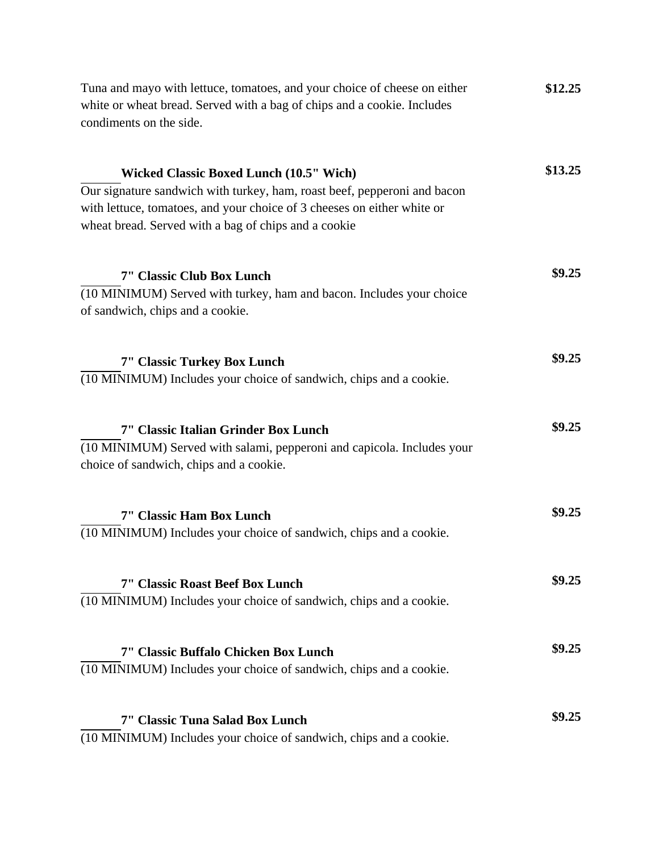| Tuna and mayo with lettuce, tomatoes, and your choice of cheese on either<br>white or wheat bread. Served with a bag of chips and a cookie. Includes<br>condiments on the side.                                                                               | \$12.25 |  |
|---------------------------------------------------------------------------------------------------------------------------------------------------------------------------------------------------------------------------------------------------------------|---------|--|
| <b>Wicked Classic Boxed Lunch (10.5" Wich)</b><br>Our signature sandwich with turkey, ham, roast beef, pepperoni and bacon<br>with lettuce, tomatoes, and your choice of 3 cheeses on either white or<br>wheat bread. Served with a bag of chips and a cookie | \$13.25 |  |
| 7" Classic Club Box Lunch<br>(10 MINIMUM) Served with turkey, ham and bacon. Includes your choice<br>of sandwich, chips and a cookie.                                                                                                                         | \$9.25  |  |
| <b>7" Classic Turkey Box Lunch</b><br>(10 MINIMUM) Includes your choice of sandwich, chips and a cookie.                                                                                                                                                      | \$9.25  |  |
| 7" Classic Italian Grinder Box Lunch<br>(10 MINIMUM) Served with salami, pepperoni and capicola. Includes your<br>choice of sandwich, chips and a cookie.                                                                                                     | \$9.25  |  |
| 7" Classic Ham Box Lunch<br>(10 MINIMUM) Includes your choice of sandwich, chips and a cookie.                                                                                                                                                                | \$9.25  |  |
| 7" Classic Roast Beef Box Lunch<br>(10 MINIMUM) Includes your choice of sandwich, chips and a cookie.                                                                                                                                                         | \$9.25  |  |
| 7" Classic Buffalo Chicken Box Lunch<br>(10 MINIMUM) Includes your choice of sandwich, chips and a cookie.                                                                                                                                                    | \$9.25  |  |
| 7" Classic Tuna Salad Box Lunch<br>(10 MINIMUM) Includes your choice of sandwich, chips and a cookie.                                                                                                                                                         | \$9.25  |  |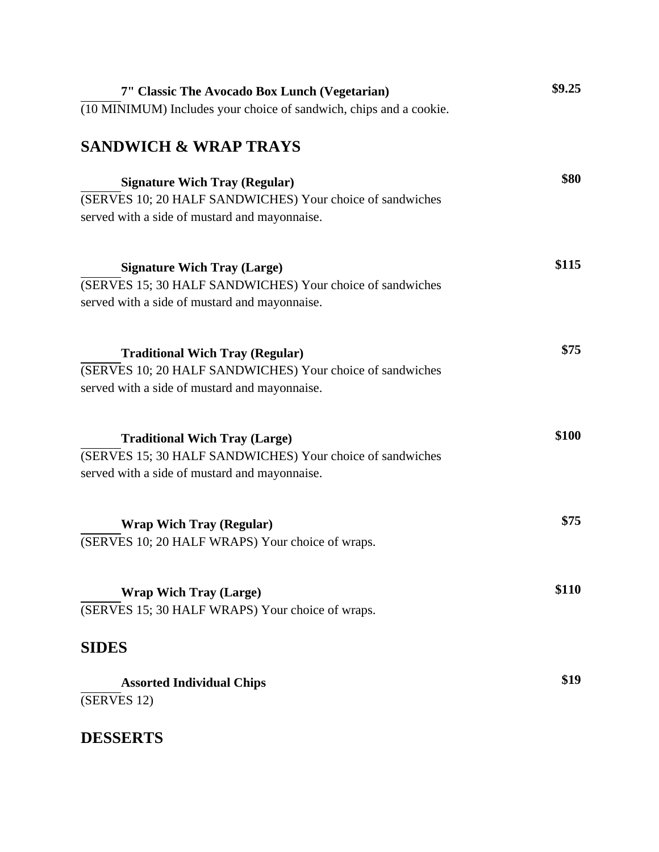| 7" Classic The Avocado Box Lunch (Vegetarian)                      | \$9.25 |
|--------------------------------------------------------------------|--------|
| (10 MINIMUM) Includes your choice of sandwich, chips and a cookie. |        |
| <b>SANDWICH &amp; WRAP TRAYS</b>                                   |        |
| <b>Signature Wich Tray (Regular)</b>                               | \$80   |
| (SERVES 10; 20 HALF SANDWICHES) Your choice of sandwiches          |        |
| served with a side of mustard and mayonnaise.                      |        |
| <b>Signature Wich Tray (Large)</b>                                 | \$115  |
| (SERVES 15; 30 HALF SANDWICHES) Your choice of sandwiches          |        |
| served with a side of mustard and mayonnaise.                      |        |
| <b>Traditional Wich Tray (Regular)</b>                             | \$75   |
| (SERVES 10; 20 HALF SANDWICHES) Your choice of sandwiches          |        |
| served with a side of mustard and mayonnaise.                      |        |
| <b>Traditional Wich Tray (Large)</b>                               | \$100  |
| (SERVES 15; 30 HALF SANDWICHES) Your choice of sandwiches          |        |
| served with a side of mustard and mayonnaise.                      |        |
| <b>Wrap Wich Tray (Regular)</b>                                    | \$75   |
| (SERVES 10; 20 HALF WRAPS) Your choice of wraps.                   |        |
| <b>Wrap Wich Tray (Large)</b>                                      | \$110  |
| (SERVES 15; 30 HALF WRAPS) Your choice of wraps.                   |        |
| <b>SIDES</b>                                                       |        |
| <b>Assorted Individual Chips</b>                                   | \$19   |
| (SERVES 12)                                                        |        |

## **DESSERTS**